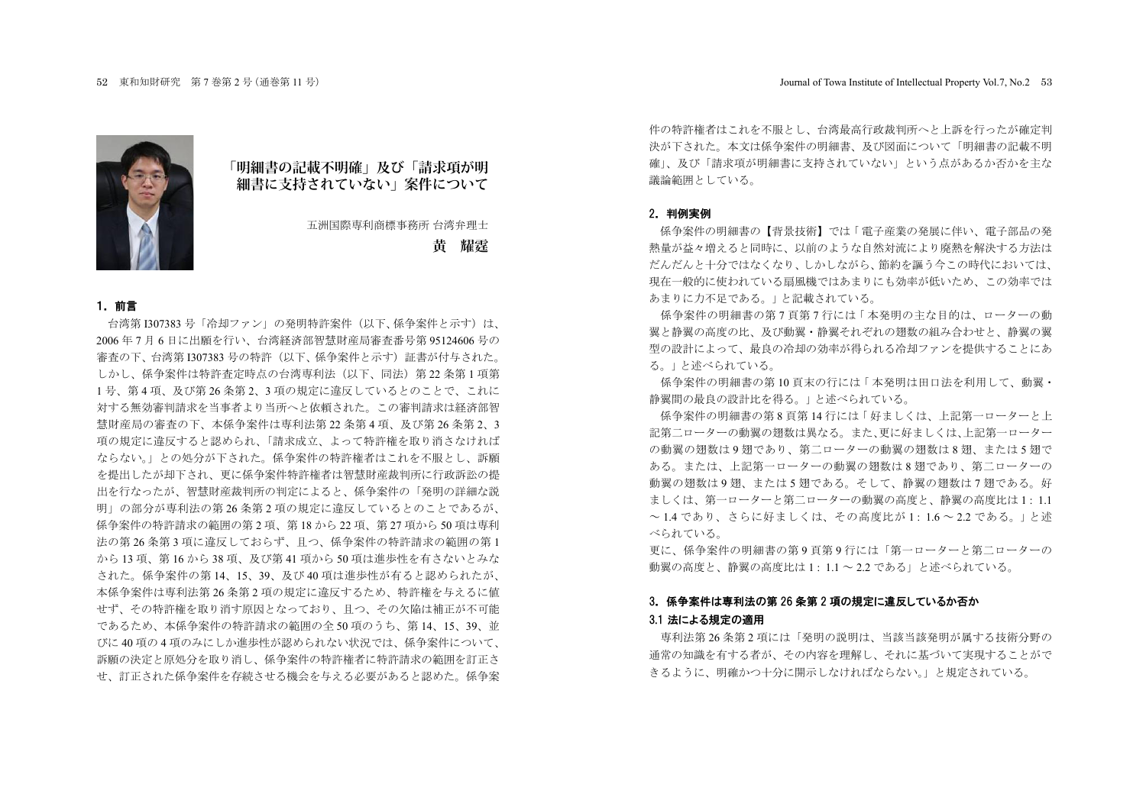



五洲国際専利商標事務所 台湾弁理士

**黄 耀霆**

#### 1. 前言

台湾第1307383号「冷却ファン」の発明特許案件 (以下、係争案件と示す)は、 2006年7月6日に出願を行い、台湾経済部智慧財産局審査番号第95124606号の 審査の下、台湾第 I307383 号の特許(以下、係争案件と示す)証書が付与された。 しかし、係争案件は特許杳定時点の台湾専利法(以下、同法)第 22 条第1項第 1号、第4項、及び第 26 条第 2、3 項の規定に違反しているとのことで、これに 対する無効審判請求を当事者より当所へと依頼された。この審判請求は経済部智 慧財産局の審査の下、本係争案件は専利法第 22 条第 4 項、及び第 26 条第 2、3 項の規定に違反すると認められ、「請求成立、よって特許権を取り消さなければ ならない。」との処分が下された。係争案件の特許権者はこれを不服とし、訴願 を提出したが却下され、更に係争案件特許権者は智慧財産裁判所に行政訴訟の提 出を行なったが、智慧財産裁判所の判定によると、係争案件の「発明の詳細な説 明」の部分が専利法の第 26 条第 2 項の規定に違反しているとのことであるが、 係争案件の特許請求の範囲の第2項、第18から22項、第27項から50項は専利 法の第26条第3項に違反しておらず、目つ、係争案件の特許請求の範囲の第1 から13 項 第16から38 項 及び第41 項から50 項は准歩性を有さないとみな された。係争案件の第14、15、39、及び40 項は進歩性が有ると認められたが、 本係争案件は専利法第 26 条第 2 項の規定に違反するため、特許権を与えるに値 せず、その特許権を取り消す原因となっており、且つ、その欠陥は補正が不可能 であるため、本係争案件の特許請求の範囲の全50項のうち、第14、15、39、並 びに40項の4項のみにしか進歩性が認められない状況では、係争案件について、 訴願の決定と原処分を取り消し、係争案件の特許権者に特許請求の範囲を訂正さ せ、訂正された係争案件を存続させる機会を与える必要があると認めた。係争案

件の特許権者はこれを不服とし、台湾最高行政裁判所へと上訴を行ったが確定判 決が下された。本文は係争案件の明細書、及び図面について「明細書の記載不明 確」。 及び「請求項が明細書に支持されていない」という点があるか否かを主な 議論範囲としている。

#### 2. 判例実例

係争案件の明細書の【背暑技術】では「雷子産業の発展に伴い、雷子部品の発 熱量が益々増えると同時に、以前のような自然対流により廃熱を解決する方法は だんだんと十分ではなくなり、しかしながら、節約を謳う今この時代においては、 現在一般的に使われている扇風機ではあまりにも効率が低いため、この効率では あまりに力不足である。」と記載されている。

係争案件の明細書の第7頁第7行には「本発明の主な目的は、ローターの動 翼と静翼の高度の比、及び動翼・静翼それぞれの翅数の組み合わせと、静翼の翼 型の設計によって、最良の冷却の効率が得られる冷却ファンを提供することにあ る。」と述べられている。

係争案件の明細書の第10 百末の行には「本発明は田口法を利用して、動翼· 静翼間の最良の設計比を得る。」と述べられている。

係争案件の明細書の第8百第14行には「好ましくは、上記第一ローターと上 記第二ローターの動翼の翅数は異なる。また、更に好ましくは、上記第一ローター の動翼の翅数は9 翅であり、第二ローターの動翼の翅数は8 翅、または5 翅で ある。または、上記第一ローターの動翼の翅数は8 翅であり、第二ローターの 動翼の翅数は9翅、または5翅である。そして、静翼の翅数は7翅である。好 ましくは、第一ローターと第二ローターの動翼の高度と、静翼の高度比は1:1.1 ~1.4 であり、さらに好ましくは、その高度比が1:1.6~2.2 である。」と述 べられている。

更に、係争案件の明細書の第9 百第9 行には「第一ローターと第二ローターの 動翼の高度の高度比は1:1.1~2.2 である」と述べられている。

## 3. 係争案件は専利法の第 26 条第 2 項の規定に違反しているか否か 3.1 法による規定の適用

専利法第 26 条第 2 項には「発明の説明は、当該当該発明が属する技術分野の 通常の知識を有する者が、その内容を理解し、それに基づいて実現することがで きるように、明確かつ十分に開示しなければならない。」と規定されている。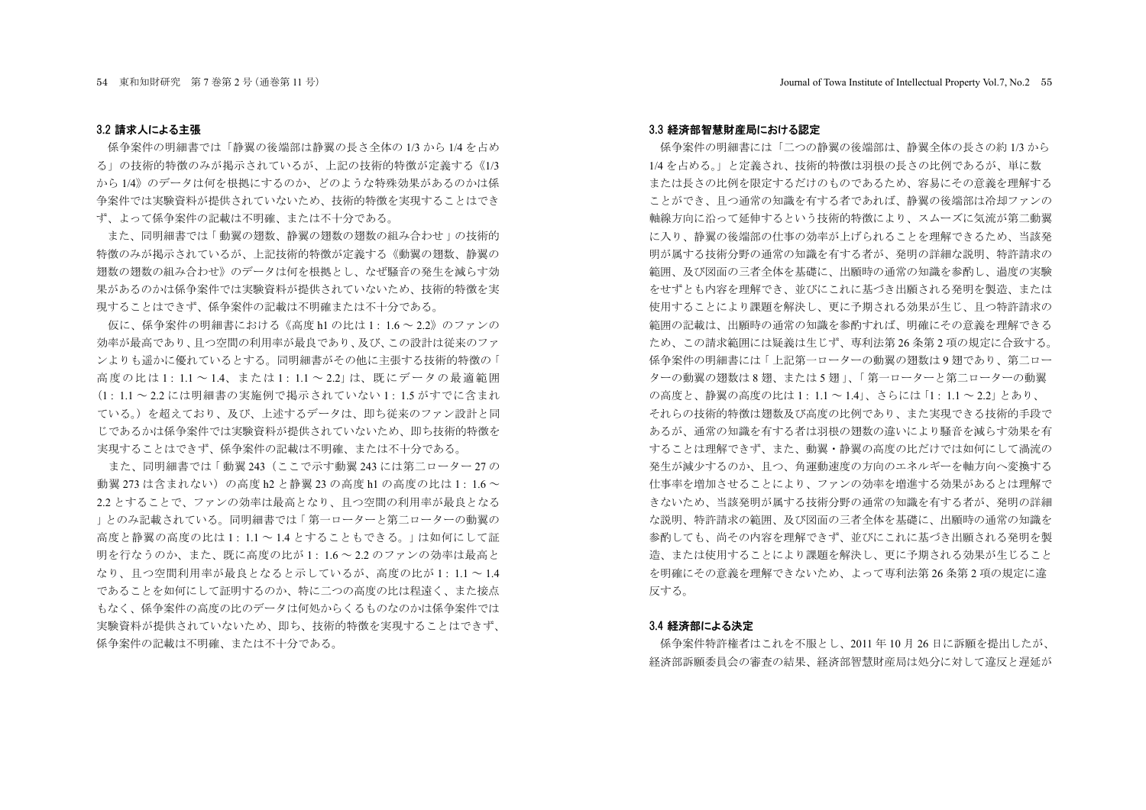#### 3.2 請求人による主張

係争案件の明細書では「静翼の後端部は静翼の長さ全体の1/3 から1/4 を占め ろ」の技術的特徴のみが掲示されているが、上記の技術的特徴が定義する《1/3 から 1/4》のデータは何を根拠にするのか、どのような特殊効果があるのかは係 争案件では実験資料が提供されていないため、技術的特徴を実現することはでき ず、よって係争案件の記載は不明確、または不十分である。

また、同明細書では「動翼の翅数、静翼の翅数の翅数の組み合わせ」の技術的 特徴のみが掲示されているが、上記技術的特徴が定義する《動翼の翅数、静翼の 翅数の細み合わせ》のデータは何を根拠とし、なぜ騒音の発生を減らす効 果があるのかは係争案件では実験資料が提供されていないため、技術的特徴を実 現することはできず、係争案件の記載は不明確または不十分である。

仮に、係争案件の明細書における《高度 h1 の比は 1: 1.6 ~ 2.2》のファンの 効率が最高であり、且つ空間の利用率が最良であり、及び、この設計は従来のファ ンよりも活かに優れているとする。同明細書がその他に主張する技術的特徴の「 高度の比は1:11~14、または1:11~221は、既にデータの最適範囲 (1: 1.1 ~ 2.2 には明細書の実施例で掲示されていない 1: 1.5 がすでに含まれ ている。)を超えており、及び、上述するデータは、即ち従来のファン設計と同 じであるかは係争案件では実験資料が提供されていないため、即ち技術的特徴を 実現することはできず、係争案件の記載は不明確、または不十分である。

また、同明細書では「動翼 243 (ここで示す動翼 243 には第二ローター 27の 動翼 273 は含まれない)の高度 h2 と静翼 23 の高度 h1 の高度の比は1:1.6~ 22とすることで、ファンの効率は最高となり、目つ空間の利用率が最良となる ↑とのみ記載されている。同明細書では「第一ローターと第二ローターの動翼の 高度と静翼の高度の比は1・11~14とすることもできる。」は如何にして証 明を行なうのか、また、既に高度の比が1:1.6~2.2のファンの効率は最高と なり、且つ空間利用率が最良となると示しているが、高度の比が1:1.1~1.4 であることを如何にして証明するのか、特に二つの高度の比は程遠く、また接点 もなく、係争案件の高度の比のデータは何処からくるものなのかは係争案件では 実験資料が提供されていないため、即ち、技術的特徴を実現することはできず、 係争案件の記載は不明確。または不十分である。

#### 3.3 経済部智慧財産局における認定

係争案件の明細書には「二つの静翼の後端部は、静翼全体の長さの約1/3から 1/4 を占める。」と定義され、技術的特徴は羽根の長さの比例であるが、単に数 または長さの比例を限定するだけのものであるため、容易にその意義を理解する ことができ、且つ通常の知識を有する者であれば、静翼の後端部は冷却ファンの 軸線方向に沿って延伸するという技術的特徴により、スムーズに気流が第二動翼 に入り、静翼の後端部の什事の効率が上げられることを理解できるため、当該発 明が属する技術分野の通常の知識を有する者が、発明の詳細な説明、特許請求の 範囲、及び図面の三者全体を基礎に、出願時の通常の知識を参酌し、過度の実験 をせずとも内容を理解でき、並びにこれに基づき出願される発明を製造、または 使用することにより課題を解決し、更に予期される効果が生じ、目つ特許請求の 銜囲の記載は、出願時の通常の知識を参酌すれば、明確にその意義を理解できる ため、この請求範囲には疑義は生じず、専利法第26条第2項の規定に合致する。 係争案件の明細書には「上記第一ローターの動翼の翅数は9 翅であり、第二ロー ターの動翼の翅数は8 翅、または5 翅」、「第一ローターと第二ローターの動翼 の高度と、静翼の高度の比は1:1.1~1.4」、さらには「1:1.1~2.2」とあり、 それらの技術的特徴は翅数及び高度の比例であり、また実現できる技術的手段で あるが、通常の知識を有する者は羽根の翅数の違いにより騒音を減らす効果を有 することは理解できず、また、動翼・静翼の高度の比だけでは如何にして渦流の 発生が減少するのか、且つ、角運動速度の方向のエネルギーを軸方向へ変換する 仕事率を増加させることにより、ファンの効率を増進する効果があるとは理解で きないため、当該発明が属する技術分野の通常の知識を有する者が、発明の詳細 な説明、特許請求の範囲、及び図面の三者全体を基礎に、出願時の通常の知識を 参酌しても、尚その内容を理解できず、並びにこれに基づき出願される発明を製 造、または使用することにより課題を解決し、更に予期される効果が生じること を明確にその意義を理解できないため、よって専利法第26 条第2項の規定に違 反する。

#### 3.4 経済部による決定

係争案件特許権者はこれを不服とし、2011年10月26日に訴願を提出したが、 経済部訴願委員会の審査の結果、経済部智慧財産局は処分に対して違反と遅延が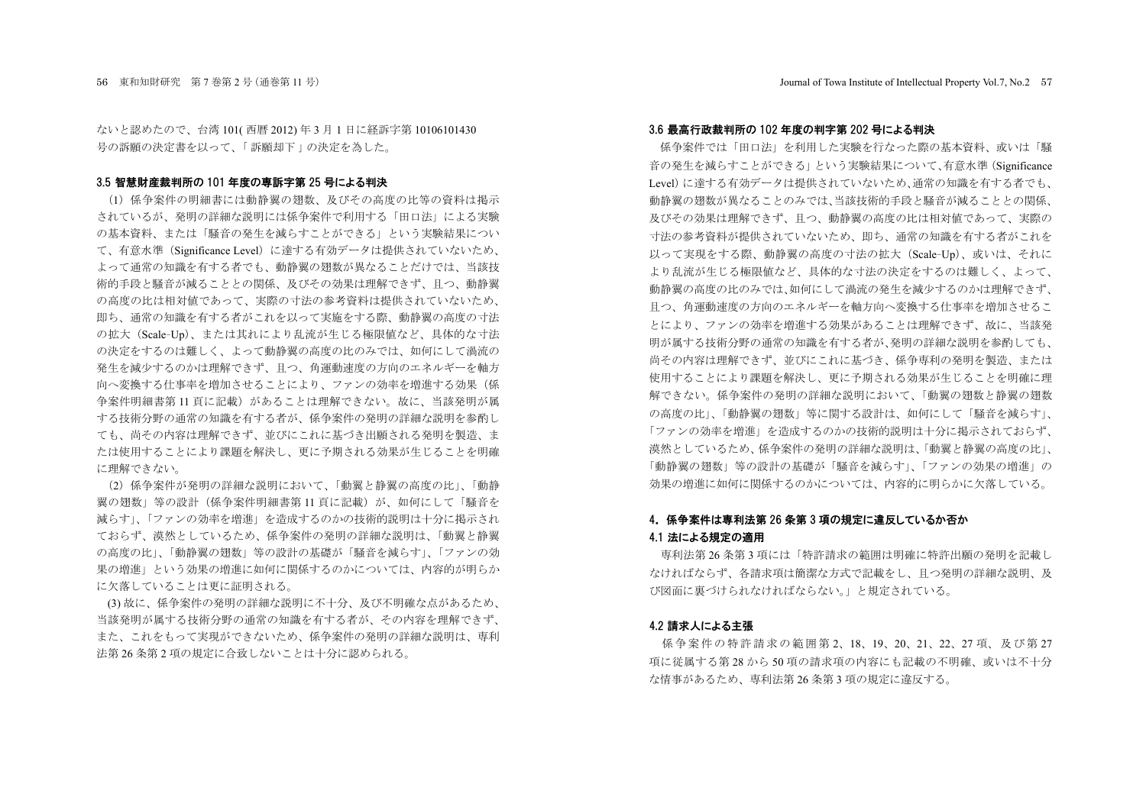ないと認めたので、台湾101(西暦2012)年3月1日に経訴字第10106101430 号の訴願の決定書を以って、「訴願却下」の決定を為した。

#### 3.5 智慧財産裁判所の 101 年度の専訴字第 25 号による判決

(1) 係争案件の明細書には動静翼の翅数、及びその高度の比等の資料は掲示 されているが、発明の詳細な説明には係争案件で利用する「田口法」による実験 の基本資料、または「騒音の発生を減らすことができる」という実験結果につい て、有意水準 (Significance Level) に達する有効データは提供されていないため、 よって诵常の知識を有する者でも、動静翼の翅数が異なることだけでは、当該技 術的手段と騒音が減ることとの関係、及びその効果は理解できず、且つ、動静翼 の高度の比は相対値であって、実際の寸法の参考資料は提供されていないため、 即ち、通常の知識を有する者がこれを以って実施をする際、動静翼の高度の寸法 の拡大 (Scale-Up)、または其れにより乱流が生じる極限値など、具体的な寸法 の決定をするのは難しく、よって動静翼の高度の比のみでは、如何にして渦流の 発生を減少するのかは理解できず、且つ、角運動速度の方向のエネルギーを軸方 向へ変換する仕事率を増加させることにより、ファンの効率を増進する効果(係 争案件明細書第11頁に記載)があることは理解できない。故に、当該発明が属 する技術分野の通常の知識を有する者が、係争案件の発明の詳細な説明を参酌し ても、尚その内容は理解できず、並びにこれに基づき出願される発明を製造、ま たは使用することにより課題を解決し、更に予期される効果が生じることを明確 に理解できない。

(2) 係争案件が発明の詳細な説明において、「動翼と静翼の高度の比」、「動静 翼の翊数」等の設計(係争案件明細書第11 百に記載)が、如何にして「騒音を 減らす」、「ファンの効率を増進」を造成するのかの技術的説明は十分に掲示され ておらず、漠然としているため、係争案件の発明の詳細な説明は、「動翼と静翼 の高度の比」、「動静翼の翅数」等の設計の基礎が「騒音を減らす」、「ファンの効 果の増進」という効果の増進に如何に関係するのかについては、内容的が明らか に欠落していることは更に証明される。

(3) 故に、係争案件の発明の詳細な説明に不十分、及び不明確な点があるため、 当該発明が属する技術分野の通常の知識を有する者が、その内容を理解できず、 また、これをもって実現ができないため、係争案件の発明の詳細な説明は、専利 法第 26 条第 2 項の規定に合致しないことは十分に認められる。

#### 3.6 最高行政裁判所の 102 年度の判字第 202 号による判決

係争案件では「田口法」を利用した実験を行なった際の基本資料、或いは「騒 音の発生を減らすことができる」という実験結果について、有意水準 (Significance Level)に達する有効データは提供されていないため、通常の知識を有する者でも、 動静翼の翅数が異なることのみでは、当該技術的手段と騒音が減ることとの関係、 及びその効果は理解できず、且つ、動静翼の高度の比は相対値であって、実際の 寸法の参考資料が提供されていないため、即ち、通常の知識を有する者がこれを 以って実現をする際、動静翼の高度の寸法の拡大 (Scale-Up)、或いは、それに より乱流が生じる極限値など、具体的な寸法の決定をするのは難しく、よって、 動静翼の高度の比のみでは、如何にして渦流の発生を減少するのかは理解できず、 目つ、角運動速度の方向のエネルギーを軸方向へ変換する仕事率を増加させるこ とにより、ファンの効率を増進する効果があることは理解できず、故に、当該発 明が属する技術分野の通常の知識を有する者が、発明の詳細な説明を参酌しても、 尚その内容は理解できず、並びにこれに基づき、係争専利の発明を製造、または 使用することにより課題を解決し、更に予期される効果が生じることを明確に理 解できない。係争案件の発明の詳細な説明において、「動翼の翅数と静翼の翅数 の高度の比」、「動静翼の翅数」等に関する設計は、如何にして「騒音を減らす」、 「ファンの効率を増進」を造成するのかの技術的説明は十分に掲示されておらず、 漠然としているため、係争案件の発明の詳細な説明は、「動翼と静翼の高度の比」、 「動静翼の翅数」等の設計の基礎が「騒音を減らす」、「ファンの効果の増進」の 効果の増進に如何に関係するのかについては、内容的に明らかに欠落している。

## 4. 係争案件は専利法第 26 条第 3 項の規定に違反しているか否か 4.1 法による規定の適用

専利法第 26 条第 3 項には「特許請求の範囲は明確に特許出願の発明を記載し なければならず、各請求項は簡潔な方式で記載をし、目つ発明の詳細な説明、及 び図面に裏づけられなければならない。」と規定されている。

#### 4.2 請求人による主張

係争案件の特許請求の範囲第2、18、19、20、21、22、27 項、及び第27 項に従属する第28から50項の請求項の内容にも記載の不明確、或いは不十分 な情事があるため、 専利法第 26 条第 3 項の規定に違反する。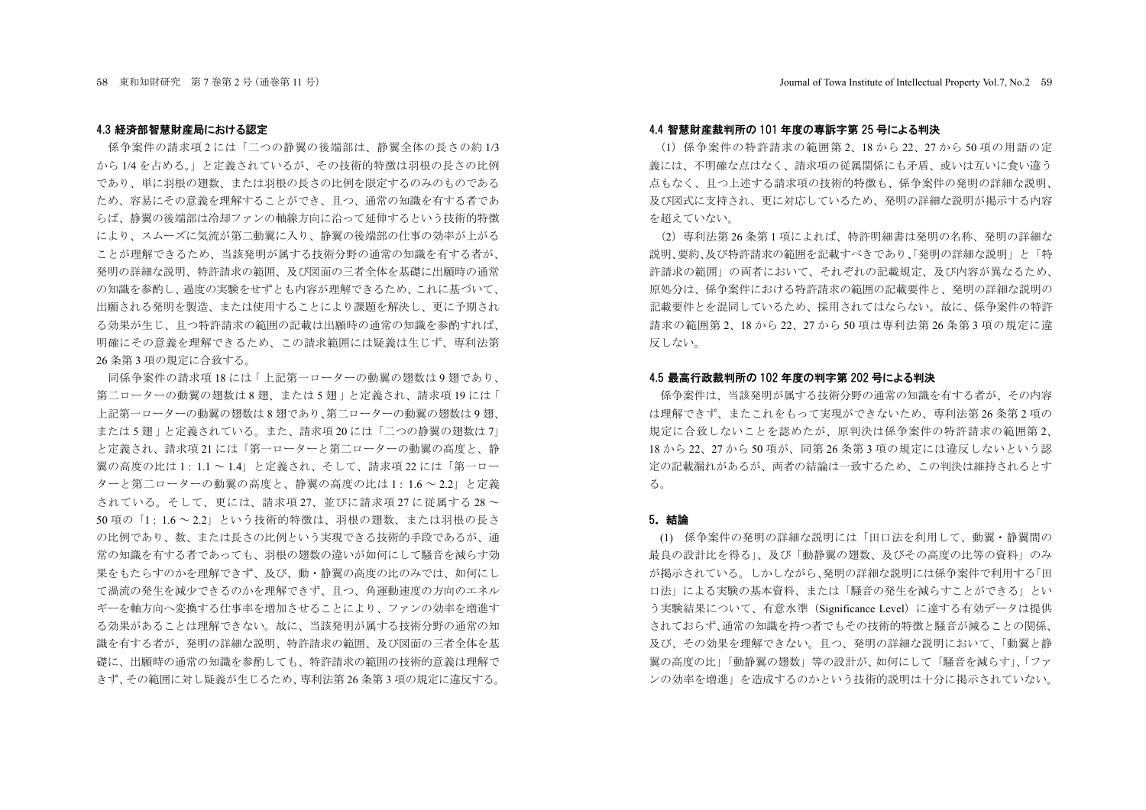#### 4.3 経済部智慧財産局における認定

係争案件の請求項2には「二つの静翼の後端部は、静翼全体の長さの約1/3 から1/4 を占める。」と定義されているが、その技術的特徴は羽根の長さの比例 であり、単に羽根の翅数、または羽根の長さの比例を限定するのみのものである ため、容易にその意義を理解することができ、且つ、通常の知識を有する者であ らば、静翼の後端部は冷却ファンの軸線方向に沿って延伸するという技術的特徴 により、おムーズに気流が第二動翼に入り、静翼の後端部の仕事の効率が上がる ことが理解できるため、当該発明が属する技術分野の通常の知識を有する者が、 発明の詳細な説明、特許請求の範囲、及び図面の三者全体を基礎に出願時の通常 の知識を参酌し、過度の実験をせずとも内容が理解できるため、これに基づいて、 出願される発明を製造、または使用することにより課題を解決し、更に予期され る効果が生じ、且つ特許請求の範囲の記載は出願時の通常の知識を参酌すれば、 明確にその意義を理解できるため、この請求範囲には疑義は生じず、専利法第 26 条第3項の規定に合致する。

同係争案件の請求項18には「上記第一ローターの動翼の翅数は9 翅であり、 第二ローターの動翼の翅数は8翅、または5翅」と定義され、請求項19には「 上記第一ローターの動翼の翅数は8翅であり、第二ローターの動翼の翅数は9翅、 または5捌」と定義されている。また、請求項20には「二つの静翼の翅数は7」 と定義され、請求項21には「第一ローターと第二ローターの動翼の高度と、静 翼の高度の比は1:1.1~1.4」と定義され、そして、請求項22には「第一ロー ターと第二ローターの動翼の高度と、静翼の高度の比は1:16~22」と定義 **されている。そして、更には、請求項 27. 並びに請求項 27 に従属する 28 ~** 50 項の「1:1.6 ~ 2.2」という技術的特徴は、羽根の翅数、または羽根の長さ の比例であり、数、または長さの比例という実現できる技術的手段であるが、通 常の知識を有する者であっても、羽根の翅数の違いが如何にして騒音を減らす効 果をもたらすのかを理解できず、及び、動・静翼の高度の比のみでは、如何にし て渦流の発生を減少できるのかを理解できず、且つ、角運動速度の方向のエネル ギーを軸方向へ変換する仕事率を増加させることにより、ファンの効率を増進す る効果があることは理解できない。故に、当該発明が属する技術分野の通常の知 識を有する者が、発明の詳細な説明、特許請求の範囲、及び図面の三者全体を基 礎に、出願時の通常の知識を参酌しても、特許請求の範囲の技術的意義は理解で きず、その範囲に対し疑義が生じるため、専利法第 26 条第3 項の規定に違反する。

#### 4.4 智慧財産裁判所の 101 年度の専訴字第 25 号による判決

(1) 係争案件の特許請求の範囲第2、18から22、27から50項の用語の定 義には、不明確な点はなく、請求項の従属関係にも矛盾、或いは互いに食い違う 点もなく、且つ上述する請求項の技術的特徴も、係争案件の発明の詳細な説明、 及び図式に支持され、更に対応しているため、発明の詳細な説明が掲示する内容 を超えていない。

(2) 専利法第 26 条第 1 項によれば、特許明細書は発明の名称、発明の詳細な 説明、要約、及び特許請求の範囲を記載すべきであり、「発明の詳細な説明」と「特 許請求の範囲」の両者において、それぞれの記載規定、及び内容が異なるため、 原処分は、係争案件における特許請求の範囲の記載要件と、発明の詳細な説明の 記載要件とを混同しているため、採用されてはならない。故に、係争案件の特許 請求の範囲第 2、18 から 22、27 から 50 項は専利法第 26 条第 3 項の規定に違 反しない。

#### 4.5 最高行政裁判所の 102 年度の判字第 202 号による判決

係争案件は、当該発明が属する技術分野の通常の知識を有する者が、その内容 は理解できず、またこれをもって実現ができないため、専利法第26条第2項の 規定に合致しないことを認めたが、原判決は係争案件の特許請求の範囲第2、 18 から 22、27 から 50 項が、同第 26 条第 3 項の規定には違反しないという認 定の記載漏れがあるが、両者の結論は一致するため、この判決は維持されるとす  $\zeta$ 

### 5. 結論

(1) 係争案件の発明の詳細な説明には「田口法を利用して、動翼・静翼間の 最良の設計比を得る」、及び「動静翼の翅数、及びその高度の比等の資料」のみ が掲示されている。しかしながら、発明の詳細な説明には係争案件で利用する「田 口法」による実験の基本資料、または「騒音の発生を減らすことができる」とい う実験結果について、有意水準 (Significance Level) に達する有効データは提供 されておらず、通常の知識を持つ者でもその技術的特徴と騒音が減ることの関係、 及び、その効果を理解できない。且つ、発明の詳細な説明において、「動翼と静 翼の高度の比」「動静翼の翅数」等の設計が、如何にして「騒音を減らす」、「ファ ンの効率を増進」を造成するのかという技術的説明は十分に掲示されていたい。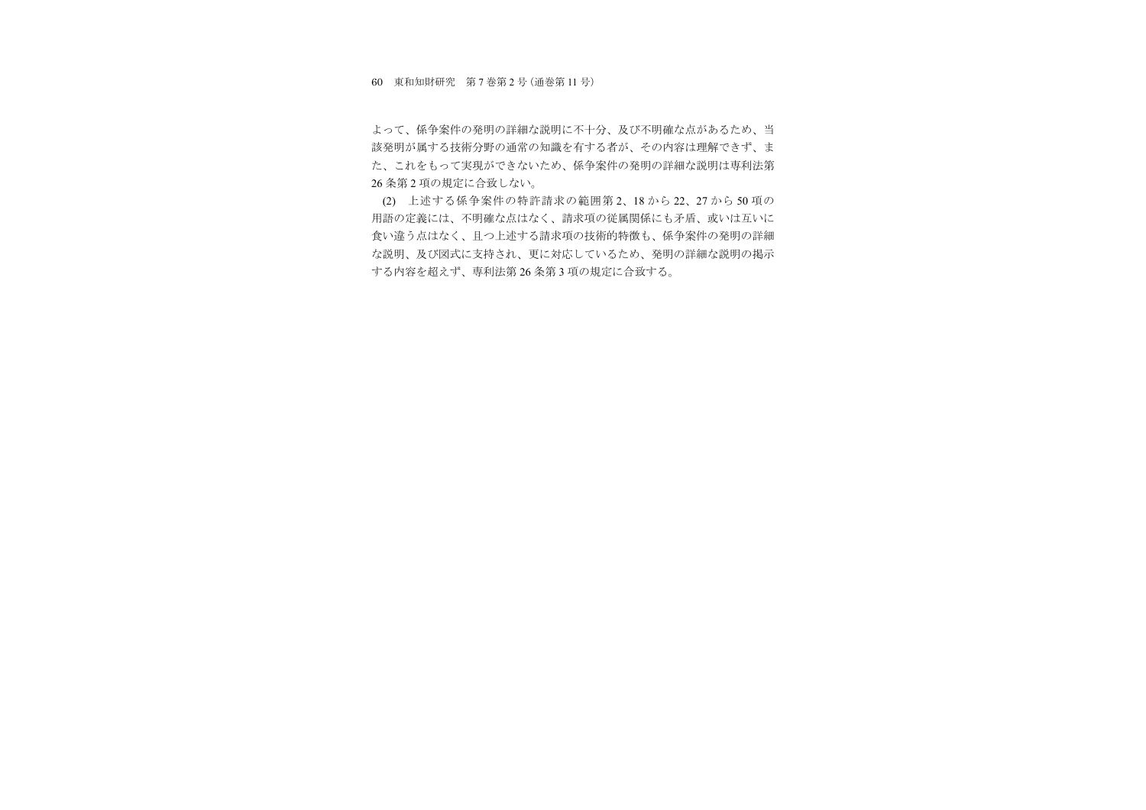60 東和知財研究 第 7 巻第 2 号(通巻第 11 号)

よって、係争案件の発明の詳細な説明に不十分、及び不明確な点があるため、当 該発明が属する技術分野の通常の知識を有する者が、その内容は理解できず、ま た、これをもって実現ができないため、係争案件の発明の詳細な説明は専利法第 26 条第2項の規定に合致しない。

(2) 上述する係争案件の特許請求の範囲第2、18から22、27から50項の 用語の定義には、不明確な点はなく、請求項の従属関係にも矛盾、或いは互いに 食い違う点はなく、且つ上述する請求項の技術的特徴も、係争案件の発明の詳細 な説明、及び図式に支持され、更に対応しているため、発明の詳細な説明の掲示 する内容を超えず、専利法第26条第3項の規定に合致する。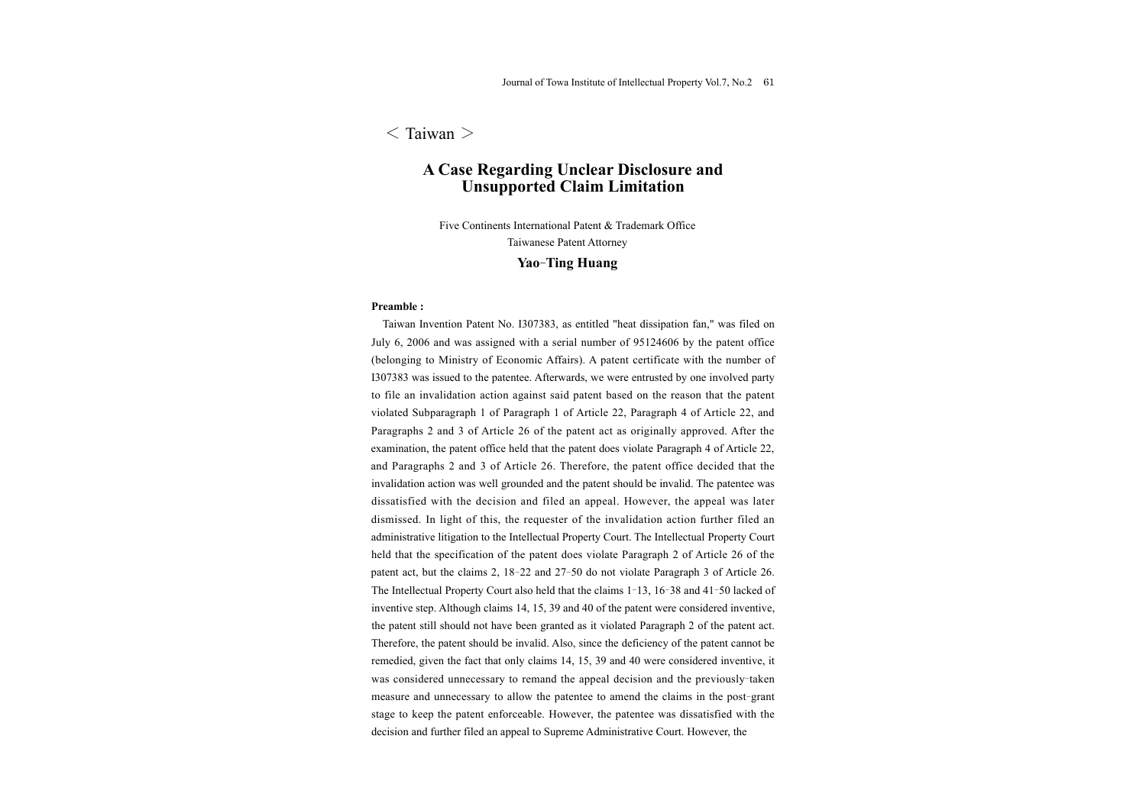# $\langle$  Taiwan  $\rangle$

# **A Case Regarding Unclear Disclosure and Unsupported Claim Limitation**

Five Continents International Patent & Trademark Office Taiwanese Patent Attorney

# **Yao-Ting Huang**

#### **Preamble :**

Taiwan Invention Patent No. I307383, as entitled "heat dissipation fan," was filed on July 6, 2006 and was assigned with a serial number of 95124606 by the patent office (belonging to Ministry of Economic Affairs). A patent certificate with the number of I307383 was issued to the patentee. Afterwards, we were entrusted by one involved party to file an invalidation action against said patent based on the reason that the patent violated Subparagraph 1 of Paragraph 1 of Article 22, Paragraph 4 of Article 22, and Paragraphs 2 and 3 of Article 26 of the patent act as originally approved. After the examination, the patent office held that the patent does violate Paragraph 4 of Article 22, and Paragraphs 2 and 3 of Article 26. Therefore, the patent office decided that the invalidation action was well grounded and the patent should be invalid. The patentee was dissatisfied with the decision and filed an appeal. However, the appeal was later dismissed. In light of this, the requester of the invalidation action further filed an administrative litigation to the Intellectual Property Court. The Intellectual Property Court held that the specification of the patent does violate Paragraph 2 of Article 26 of the patent act, but the claims 2, 18- <sup>22</sup> and 27- 50 do not violate Paragraph 3 of Article 26. The Intellectual Property Court also held that the claims 1- 13, 16- <sup>38</sup> and 41- 50 lacked of inventive step. Although claims 14, 15, 39 and 40 of the patent were considered inventive, the patent still should not have been granted as it violated Paragraph 2 of the patent act. Therefore, the patent should be invalid. Also, since the deficiency of the patent cannot be remedied, given the fact that only claims 14, 15, 39 and 40 were considered inventive, it was considered unnecessary to remand the appeal decision and the previously-taken measure and unnecessary to allow the patentee to amend the claims in the post-grant stage to keep the patent enforceable. However, the patentee was dissatisfied with the decision and further filed an appeal to Supreme Administrative Court. However, the